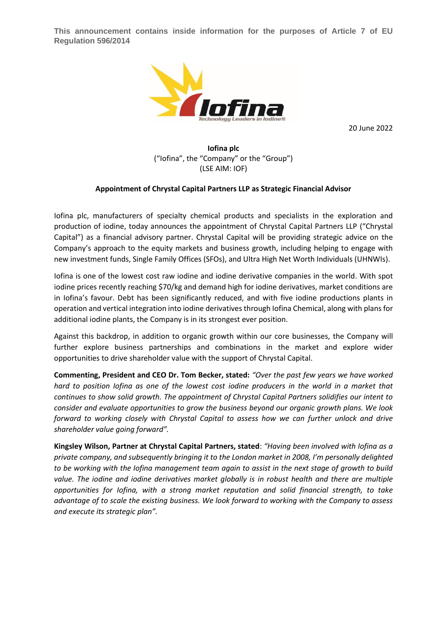**This announcement contains inside information for the purposes of Article 7 of EU Regulation 596/2014**



20 June 2022

**Iofina plc** ("Iofina", the "Company" or the "Group") (LSE AIM: IOF)

### **Appointment of Chrystal Capital Partners LLP as Strategic Financial Advisor**

Iofina plc, manufacturers of specialty chemical products and specialists in the exploration and production of iodine, today announces the appointment of Chrystal Capital Partners LLP ("Chrystal Capital") as a financial advisory partner. Chrystal Capital will be providing strategic advice on the Company's approach to the equity markets and business growth, including helping to engage with new investment funds, Single Family Offices (SFOs), and Ultra High Net Worth Individuals (UHNWIs).

Iofina is one of the lowest cost raw iodine and iodine derivative companies in the world. With spot iodine prices recently reaching \$70/kg and demand high for iodine derivatives, market conditions are in Iofina's favour. Debt has been significantly reduced, and with five iodine productions plants in operation and vertical integration into iodine derivatives through Iofina Chemical, along with plans for additional iodine plants, the Company is in its strongest ever position.

Against this backdrop, in addition to organic growth within our core businesses, the Company will further explore business partnerships and combinations in the market and explore wider opportunities to drive shareholder value with the support of Chrystal Capital.

**Commenting, President and CEO Dr. Tom Becker, stated:** *"Over the past few years we have worked*  hard to position lofina as one of the lowest cost iodine producers in the world in a market that *continues to show solid growth. The appointment of Chrystal Capital Partners solidifies our intent to consider and evaluate opportunities to grow the business beyond our organic growth plans. We look forward to working closely with Chrystal Capital to assess how we can further unlock and drive shareholder value going forward".*

**Kingsley Wilson, Partner at Chrystal Capital Partners, stated**: *"Having been involved with Iofina as a private company, and subsequently bringing it to the London market in 2008, I'm personally delighted to be working with the Iofina management team again to assist in the next stage of growth to build value. The iodine and iodine derivatives market globally is in robust health and there are multiple opportunities for Iofina, with a strong market reputation and solid financial strength, to take advantage of to scale the existing business. We look forward to working with the Company to assess and execute its strategic plan".*